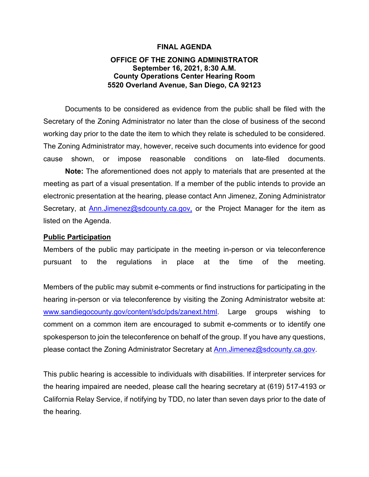#### **FINAL AGENDA**

### **OFFICE OF THE ZONING ADMINISTRATOR September 16, 2021, 8:30 A.M. County Operations Center Hearing Room 5520 Overland Avenue, San Diego, CA 92123**

Documents to be considered as evidence from the public shall be filed with the Secretary of the Zoning Administrator no later than the close of business of the second working day prior to the date the item to which they relate is scheduled to be considered. The Zoning Administrator may, however, receive such documents into evidence for good cause shown, or impose reasonable conditions on late-filed documents.

**Note:** The aforementioned does not apply to materials that are presented at the meeting as part of a visual presentation. If a member of the public intends to provide an electronic presentation at the hearing, please contact Ann Jimenez, Zoning Administrator Secretary, at [Ann.Jimenez@sdcounty.ca.gov,](mailto:Ann.Jimenez@sdcounty.ca.gov) or the Project Manager for the item as listed on the Agenda.

#### **Public Participation**

Members of the public may participate in the meeting in-person or via teleconference pursuant to the regulations in place at the time of the meeting.

Members of the public may submit e-comments or find instructions for participating in the hearing in-person or via teleconference by visiting the Zoning Administrator website at: [www.sandiegocounty.gov/content/sdc/pds/zanext.html.](https://sdcountycagov.sharepoint.com/sites/LUEG-PDS-ZAReports/Shared%20Documents/General/9-17-21%20ZA%20Administration%20Files/www.sandiegocounty.gov/content/sdc/pds/zanext.html) Large groups wishing to comment on a common item are encouraged to submit e-comments or to identify one spokesperson to join the teleconference on behalf of the group. If you have any questions, please contact the Zoning Administrator Secretary at **Ann.Jimenez@sdcounty.ca.gov.** 

This public hearing is accessible to individuals with disabilities. If interpreter services for the hearing impaired are needed, please call the hearing secretary at (619) 517-4193 or California Relay Service, if notifying by TDD, no later than seven days prior to the date of the hearing.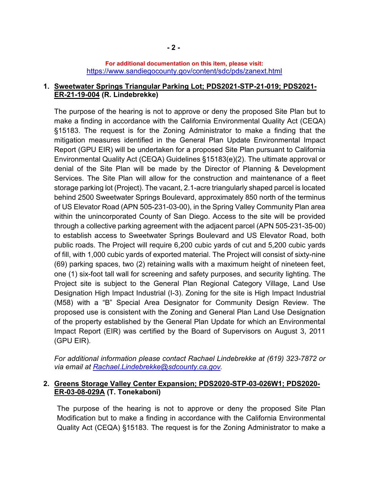### **For additional documentation on this item, please visit:** <https://www.sandiegocounty.gov/content/sdc/pds/zanext.html>

## **1. Sweetwater Springs Triangular Parking Lot; PDS2021-STP-21-019; PDS2021- ER-21-19-004 (R. Lindebrekke)**

The purpose of the hearing is not to approve or deny the proposed Site Plan but to make a finding in accordance with the California Environmental Quality Act (CEQA) §15183. The request is for the Zoning Administrator to make a finding that the mitigation measures identified in the General Plan Update Environmental Impact Report (GPU EIR) will be undertaken for a proposed Site Plan pursuant to California Environmental Quality Act (CEQA) Guidelines §15183(e)(2). The ultimate approval or denial of the Site Plan will be made by the Director of Planning & Development Services. The Site Plan will allow for the construction and maintenance of a fleet storage parking lot (Project). The vacant, 2.1-acre triangularly shaped parcel is located behind 2500 Sweetwater Springs Boulevard, approximately 850 north of the terminus of US Elevator Road (APN 505-231-03-00), in the Spring Valley Community Plan area within the unincorporated County of San Diego. Access to the site will be provided through a collective parking agreement with the adjacent parcel (APN 505-231-35-00) to establish access to Sweetwater Springs Boulevard and US Elevator Road, both public roads. The Project will require 6,200 cubic yards of cut and 5,200 cubic yards of fill, with 1,000 cubic yards of exported material. The Project will consist of sixty-nine (69) parking spaces, two (2) retaining walls with a maximum height of nineteen feet, one (1) six-foot tall wall for screening and safety purposes, and security lighting. The Project site is subject to the General Plan Regional Category Village, Land Use Designation High Impact Industrial (I-3). Zoning for the site is High Impact Industrial (M58) with a "B" Special Area Designator for Community Design Review. The proposed use is consistent with the Zoning and General Plan Land Use Designation of the property established by the General Plan Update for which an Environmental Impact Report (EIR) was certified by the Board of Supervisors on August 3, 2011 (GPU EIR).

*For additional information please contact Rachael Lindebrekke at (619) 323-7872 or via email at [Rachael.Lindebrekke@sdcounty.ca.gov.](mailto:Rachael.Lindebrekke@sdcounty.ca.gov)*

# **2. Greens Storage Valley Center Expansion; PDS2020-STP-03-026W1; PDS2020- ER-03-08-029A (T. Tonekaboni)**

The purpose of the hearing is not to approve or deny the proposed Site Plan Modification but to make a finding in accordance with the California Environmental Quality Act (CEQA) §15183. The request is for the Zoning Administrator to make a